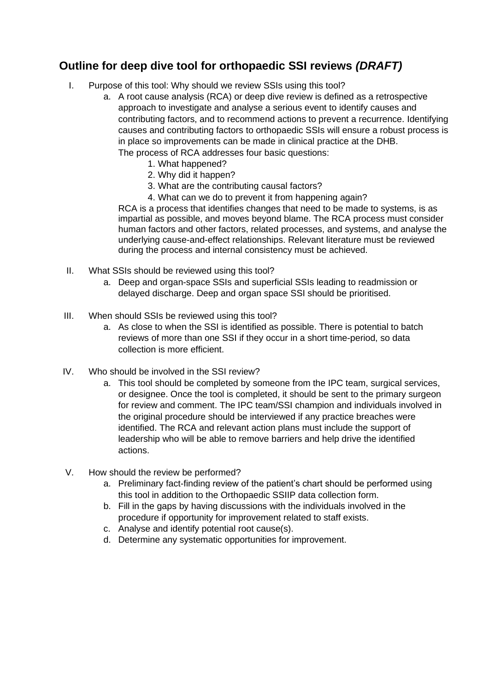## **Outline for deep dive tool for orthopaedic SSI reviews** *(DRAFT)*

- I. Purpose of this tool: Why should we review SSIs using this tool?
	- a. A root cause analysis (RCA) or deep dive review is defined as a retrospective approach to investigate and analyse a serious event to identify causes and contributing factors, and to recommend actions to prevent a recurrence. Identifying causes and contributing factors to orthopaedic SSIs will ensure a robust process is in place so improvements can be made in clinical practice at the DHB. The process of RCA addresses four basic questions:
		- 1. What happened?
		- 2. Why did it happen?
		- 3. What are the contributing causal factors?
		- 4. What can we do to prevent it from happening again?

RCA is a process that identifies changes that need to be made to systems, is as impartial as possible, and moves beyond blame. The RCA process must consider human factors and other factors, related processes, and systems, and analyse the underlying cause-and-effect relationships. Relevant literature must be reviewed during the process and internal consistency must be achieved.

- II. What SSIs should be reviewed using this tool?
	- a. Deep and organ-space SSIs and superficial SSIs leading to readmission or delayed discharge. Deep and organ space SSI should be prioritised.
- III. When should SSIs be reviewed using this tool?
	- a. As close to when the SSI is identified as possible. There is potential to batch reviews of more than one SSI if they occur in a short time-period, so data collection is more efficient.
- IV. Who should be involved in the SSI review?
	- a. This tool should be completed by someone from the IPC team, surgical services, or designee. Once the tool is completed, it should be sent to the primary surgeon for review and comment. The IPC team/SSI champion and individuals involved in the original procedure should be interviewed if any practice breaches were identified. The RCA and relevant action plans must include the support of leadership who will be able to remove barriers and help drive the identified actions.
- V. How should the review be performed?
	- a. Preliminary fact-finding review of the patient's chart should be performed using this tool in addition to the Orthopaedic SSIIP data collection form.
	- b. Fill in the gaps by having discussions with the individuals involved in the procedure if opportunity for improvement related to staff exists.
	- c. Analyse and identify potential root cause(s).
	- d. Determine any systematic opportunities for improvement.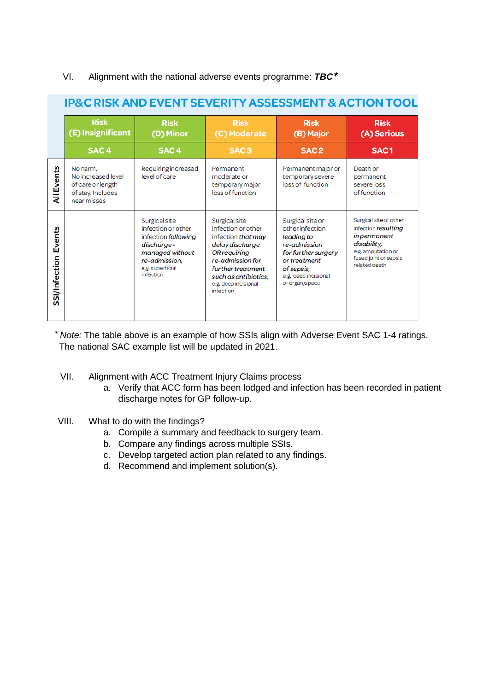## VI. Alignment with the national adverse events programme: *TBC* ✶

|                         | <b>Risk</b><br>(E) Insignificant                                                        | <b>Risk</b><br>(D) Minor                                                                                                                      | <b>Risk</b><br>(C) Moderate                                                                                                                                                                               | <b>Risk</b><br>(B) Major                                                                                                                                         | <b>Risk</b><br>(A) Serious                                                                                                                          |  |
|-------------------------|-----------------------------------------------------------------------------------------|-----------------------------------------------------------------------------------------------------------------------------------------------|-----------------------------------------------------------------------------------------------------------------------------------------------------------------------------------------------------------|------------------------------------------------------------------------------------------------------------------------------------------------------------------|-----------------------------------------------------------------------------------------------------------------------------------------------------|--|
|                         | SAC <sub>4</sub>                                                                        | SAC <sub>4</sub>                                                                                                                              | SAC <sub>3</sub>                                                                                                                                                                                          | SAC <sub>2</sub>                                                                                                                                                 | SAC <sub>1</sub>                                                                                                                                    |  |
| <b>All Events</b>       | No harm.<br>No increased level<br>of care or length<br>of stay. Includes<br>near misses | Requiring increased<br>level of care                                                                                                          | Permanent<br>moderate or<br>temporary major<br>loss of function                                                                                                                                           | Permanent major or<br>temporary severe<br>loss of function                                                                                                       | Death or<br>permanent<br>severe loss<br>of function                                                                                                 |  |
| Events<br>SSI/Infection |                                                                                         | Surgical site<br>infection or other<br>infection following<br>discharge-<br>managed without<br>re-admission,<br>e.g. superficial<br>infection | Surgical site<br>infection or other<br>infection that may<br>delay discharge<br><b>OR requiring</b><br>re-admission for<br>further treatment<br>such as antibiotics.<br>e.g. deep incisional<br>infection | Surgical site or<br>other infection<br>leading to<br>re-admission<br>for further surgery<br>or treatment<br>of sepsis,<br>e.g. deep incisional<br>or organ/space | Surgical site or other<br>infection resulting<br><i>in permanent</i><br>disability,<br>e.g. amputation or<br>fused joint or sepsis<br>related death |  |

## **ID&C RISK AND EVENT SEVERITY ASSESSMENT & ACTION TOOL**

✶ *Note:* The table above is an example of how SSIs align with Adverse Event SAC 1-4 ratings. The national SAC example list will be updated in 2021.

- VII. Alignment with ACC Treatment Injury Claims process
	- a. Verify that ACC form has been lodged and infection has been recorded in patient discharge notes for GP follow-up.
- VIII. What to do with the findings?
	- a. Compile a summary and feedback to surgery team.
	- b. Compare any findings across multiple SSIs.
	- c. Develop targeted action plan related to any findings.
	- d. Recommend and implement solution(s).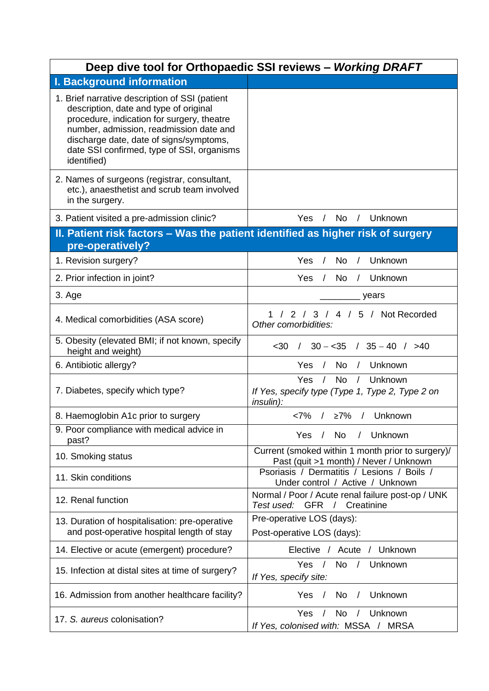|                                                                                                                                                                                                                                                                                           | Deep dive tool for Orthopaedic SSI reviews - Working DRAFT                                                        |  |  |  |  |
|-------------------------------------------------------------------------------------------------------------------------------------------------------------------------------------------------------------------------------------------------------------------------------------------|-------------------------------------------------------------------------------------------------------------------|--|--|--|--|
| <b>I. Background information</b>                                                                                                                                                                                                                                                          |                                                                                                                   |  |  |  |  |
| 1. Brief narrative description of SSI (patient<br>description, date and type of original<br>procedure, indication for surgery, theatre<br>number, admission, readmission date and<br>discharge date, date of signs/symptoms,<br>date SSI confirmed, type of SSI, organisms<br>identified) |                                                                                                                   |  |  |  |  |
| 2. Names of surgeons (registrar, consultant,<br>etc.), anaesthetist and scrub team involved<br>in the surgery.                                                                                                                                                                            |                                                                                                                   |  |  |  |  |
| 3. Patient visited a pre-admission clinic?                                                                                                                                                                                                                                                | Yes<br><b>No</b><br>Unknown<br>$\sqrt{2}$<br>$\sqrt{2}$                                                           |  |  |  |  |
| II. Patient risk factors – Was the patient identified as higher risk of surgery<br>pre-operatively?                                                                                                                                                                                       |                                                                                                                   |  |  |  |  |
| 1. Revision surgery?                                                                                                                                                                                                                                                                      | Yes<br>Unknown<br>No.<br>$\prime$<br>$\sqrt{2}$                                                                   |  |  |  |  |
| 2. Prior infection in joint?                                                                                                                                                                                                                                                              | <b>No</b><br>Yes<br>Unknown<br>$\prime$<br>$\sqrt{ }$                                                             |  |  |  |  |
| 3. Age                                                                                                                                                                                                                                                                                    | years                                                                                                             |  |  |  |  |
| 4. Medical comorbidities (ASA score)                                                                                                                                                                                                                                                      | / 2 / 3 / 4 / 5 / Not Recorded<br>Other comorbidities:                                                            |  |  |  |  |
| 5. Obesity (elevated BMI; if not known, specify<br>height and weight)                                                                                                                                                                                                                     | $/$ 30 $-$ <35 $/$ 35 $-$ 40 $/$ >40<br>$30$                                                                      |  |  |  |  |
| 6. Antibiotic allergy?                                                                                                                                                                                                                                                                    | Yes<br>No<br>Unknown<br>$\sqrt{2}$<br>$\prime$                                                                    |  |  |  |  |
| 7. Diabetes, specify which type?                                                                                                                                                                                                                                                          | <b>Yes</b><br>No.<br>Unknown<br>$\sqrt{2}$<br>If Yes, specify type (Type 1, Type 2, Type 2 on<br><i>insulin):</i> |  |  |  |  |
| 8. Haemoglobin A1c prior to surgery                                                                                                                                                                                                                                                       | / ≥7% / Unknown<br><7%                                                                                            |  |  |  |  |
| 9. Poor compliance with medical advice in<br>past?                                                                                                                                                                                                                                        | Unknown<br>/ No<br>Yes<br>$\sqrt{2}$                                                                              |  |  |  |  |
| 10. Smoking status                                                                                                                                                                                                                                                                        | Current (smoked within 1 month prior to surgery)/<br>Past (quit >1 month) / Never / Unknown                       |  |  |  |  |
| 11. Skin conditions                                                                                                                                                                                                                                                                       | Psoriasis / Dermatitis / Lesions / Boils /<br>Under control / Active / Unknown                                    |  |  |  |  |
| 12. Renal function                                                                                                                                                                                                                                                                        | Normal / Poor / Acute renal failure post-op / UNK<br>Test used: GFR / Creatinine                                  |  |  |  |  |
| 13. Duration of hospitalisation: pre-operative                                                                                                                                                                                                                                            | Pre-operative LOS (days):                                                                                         |  |  |  |  |
| and post-operative hospital length of stay                                                                                                                                                                                                                                                | Post-operative LOS (days):                                                                                        |  |  |  |  |
| 14. Elective or acute (emergent) procedure?                                                                                                                                                                                                                                               | Elective / Acute / Unknown                                                                                        |  |  |  |  |
| 15. Infection at distal sites at time of surgery?                                                                                                                                                                                                                                         | <b>No</b><br>Yes<br>$\frac{1}{2}$<br>$\frac{1}{2}$<br>Unknown<br>If Yes, specify site:                            |  |  |  |  |
| 16. Admission from another healthcare facility?                                                                                                                                                                                                                                           | Unknown<br>Yes<br>$\sqrt{ }$<br>No<br>$\sqrt{2}$                                                                  |  |  |  |  |
| 17. S. aureus colonisation?                                                                                                                                                                                                                                                               | <b>No</b><br><b>Yes</b><br>$\sqrt{2}$<br>Unknown<br>$\sqrt{2}$<br>If Yes, colonised with: MSSA / MRSA             |  |  |  |  |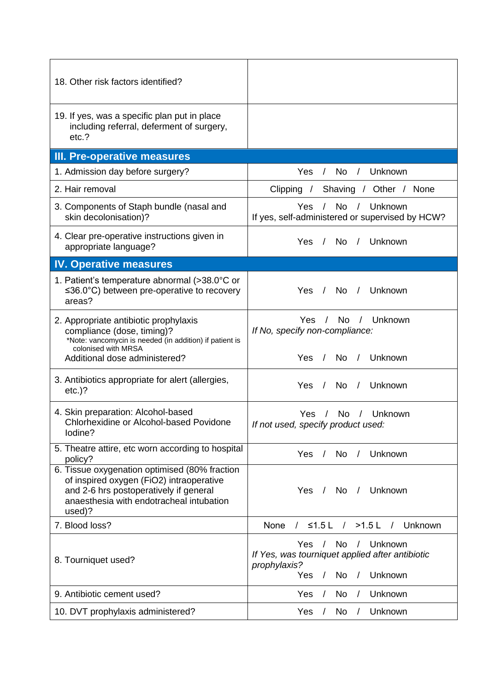| 18. Other risk factors identified?                                                                                                                                                        |                                                                                                                                                                                 |  |  |  |  |
|-------------------------------------------------------------------------------------------------------------------------------------------------------------------------------------------|---------------------------------------------------------------------------------------------------------------------------------------------------------------------------------|--|--|--|--|
| 19. If yes, was a specific plan put in place<br>including referral, deferment of surgery,<br>etc.?                                                                                        |                                                                                                                                                                                 |  |  |  |  |
| III. Pre-operative measures                                                                                                                                                               |                                                                                                                                                                                 |  |  |  |  |
| 1. Admission day before surgery?                                                                                                                                                          | Unknown<br>Yes<br>No<br>$\sqrt{2}$                                                                                                                                              |  |  |  |  |
| 2. Hair removal                                                                                                                                                                           | Clipping / Shaving / Other / None                                                                                                                                               |  |  |  |  |
| 3. Components of Staph bundle (nasal and<br>skin decolonisation)?                                                                                                                         | No $/$<br>Unknown<br>Yes /<br>If yes, self-administered or supervised by HCW?                                                                                                   |  |  |  |  |
| 4. Clear pre-operative instructions given in<br>appropriate language?                                                                                                                     | Yes / No /<br>Unknown                                                                                                                                                           |  |  |  |  |
| <b>IV. Operative measures</b>                                                                                                                                                             |                                                                                                                                                                                 |  |  |  |  |
| 1. Patient's temperature abnormal (>38.0°C or<br>$\leq 36.0^{\circ}$ C) between pre-operative to recovery<br>areas?                                                                       | Yes / No /<br>Unknown                                                                                                                                                           |  |  |  |  |
| 2. Appropriate antibiotic prophylaxis<br>compliance (dose, timing)?<br>*Note: vancomycin is needed (in addition) if patient is<br>colonised with MRSA                                     | No.<br>Yes.<br>/ Unknown<br>$\frac{1}{2}$<br>If No, specify non-compliance:                                                                                                     |  |  |  |  |
| Additional dose administered?                                                                                                                                                             | Unknown<br>Yes /<br>No /                                                                                                                                                        |  |  |  |  |
| 3. Antibiotics appropriate for alert (allergies,<br>$etc.$ )?                                                                                                                             | <b>No</b><br>Unknown<br>Yes<br>$\sqrt{ }$<br>$\sqrt{2}$                                                                                                                         |  |  |  |  |
| 4. Skin preparation: Alcohol-based<br>Chlorhexidine or Alcohol-based Povidone<br>lodine?                                                                                                  | <b>No</b><br>Unknown<br>Yes<br>$\sqrt{2}$<br>If not used, specify product used:                                                                                                 |  |  |  |  |
| 5. Theatre attire, etc worn according to hospital<br>policy?                                                                                                                              | Unknown<br>Yes<br>No<br>$\sqrt{2}$<br>$\sqrt{2}$                                                                                                                                |  |  |  |  |
| 6. Tissue oxygenation optimised (80% fraction<br>of inspired oxygen (FiO2) intraoperative<br>and 2-6 hrs postoperatively if general<br>anaesthesia with endotracheal intubation<br>used)? | <b>Yes</b><br>No<br>Unknown<br>$\sqrt{2}$<br>$\sqrt{2}$                                                                                                                         |  |  |  |  |
| 7. Blood loss?                                                                                                                                                                            | $\leq$ 1.5 L / >1.5 L / Unknown<br><b>None</b><br>$\sqrt{2}$                                                                                                                    |  |  |  |  |
| 8. Tourniquet used?                                                                                                                                                                       | No<br>Unknown<br>Yes.<br>$\sqrt{ }$<br>$\sqrt{2}$<br>If Yes, was tourniquet applied after antibiotic<br>prophylaxis?<br>Unknown<br>Yes<br><b>No</b><br>$\sqrt{2}$<br>$\sqrt{2}$ |  |  |  |  |
| 9. Antibiotic cement used?                                                                                                                                                                | No<br>Unknown<br>Yes<br>$\sqrt{2}$                                                                                                                                              |  |  |  |  |
| 10. DVT prophylaxis administered?                                                                                                                                                         | Unknown<br>Yes<br>No<br>$\prime$<br>$\prime$                                                                                                                                    |  |  |  |  |